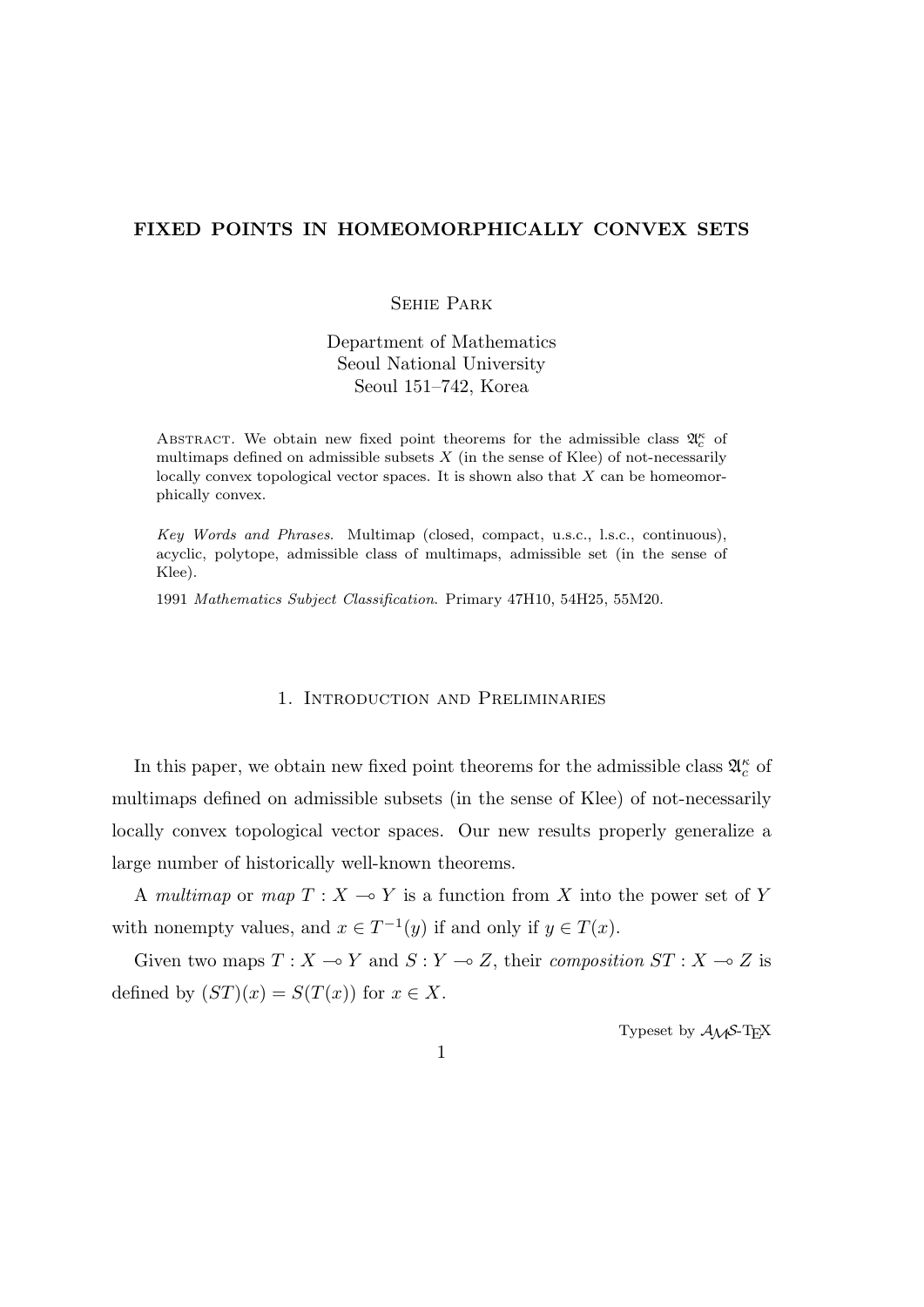# **FIXED POINTS IN HOMEOMORPHICALLY CONVEX SETS**

# Sehie Park

Department of Mathematics Seoul National University Seoul 151–742, Korea

ABSTRACT. We obtain new fixed point theorems for the admissible class  $\mathfrak{A}_{c}^{\kappa}$  of multimaps defined on admissible subsets  $X$  (in the sense of Klee) of not-necessarily locally convex topological vector spaces. It is shown also that *X* can be homeomorphically convex.

*Key Words and Phrases*. Multimap (closed, compact, u.s.c., l.s.c., continuous), acyclic, polytope, admissible class of multimaps, admissible set (in the sense of Klee).

1991 *Mathematics Subject Classification*. Primary 47H10, 54H25, 55M20.

## 1. Introduction and Preliminaries

In this paper, we obtain new fixed point theorems for the admissible class  $\mathfrak{A}_{c}^{\kappa}$  of multimaps defined on admissible subsets (in the sense of Klee) of not-necessarily locally convex topological vector spaces. Our new results properly generalize a large number of historically well-known theorems.

A *multimap* or *map*  $T : X \to Y$  is a function from X into the power set of Y with nonempty values, and  $x \in T^{-1}(y)$  if and only if  $y \in T(x)$ .

Given two maps  $T : X \to Y$  and  $S : Y \to Z$ , their *composition*  $ST : X \to Z$  is defined by  $(ST)(x) = S(T(x))$  for  $x \in X$ .

Typeset by  $A_{\mathcal{M}}S$ -T<sub>E</sub>X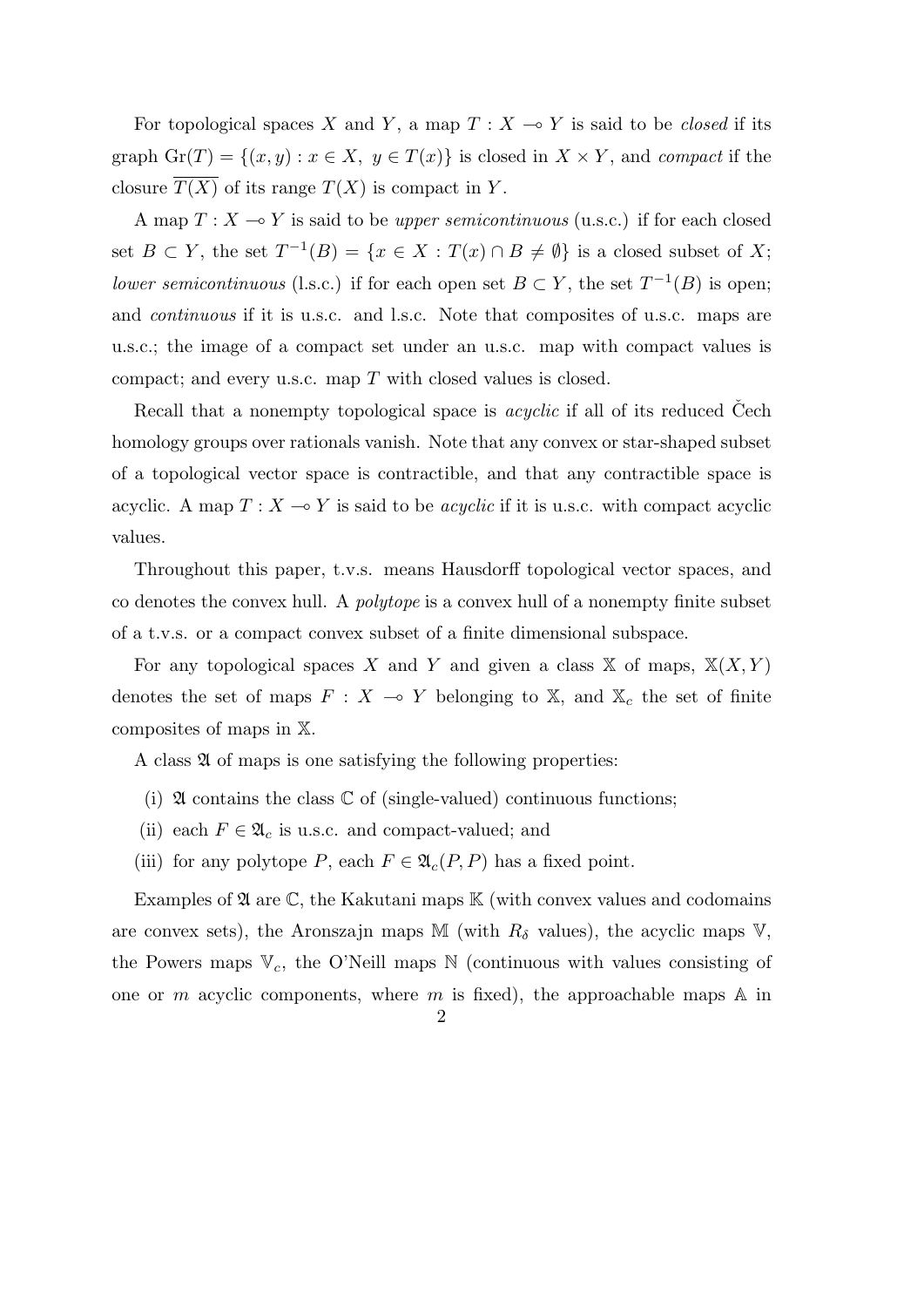For topological spaces *X* and *Y*, a map  $T : X \rightarrow Y$  is said to be *closed* if its graph  $\text{Gr}(T) = \{(x, y) : x \in X, y \in T(x)\}$  is closed in  $X \times Y$ , and *compact* if the closure  $\overline{T(X)}$  of its range  $T(X)$  is compact in *Y*.

A map  $T : X \longrightarrow Y$  is said to be *upper semicontinuous* (u.s.c.) if for each closed set  $B \subset Y$ , the set  $T^{-1}(B) = \{x \in X : T(x) \cap B \neq \emptyset\}$  is a closed subset of X; *lower semicontinuous* (l.s.c.) if for each open set  $B \subset Y$ , the set  $T^{-1}(B)$  is open; and *continuous* if it is u.s.c. and l.s.c. Note that composites of u.s.c. maps are u.s.c.; the image of a compact set under an u.s.c. map with compact values is compact; and every u.s.c. map *T* with closed values is closed.

Recall that a nonempty topological space is *acyclic* if all of its reduced Cech homology groups over rationals vanish. Note that any convex or star-shaped subset of a topological vector space is contractible, and that any contractible space is acyclic. A map  $T : X \to Y$  is said to be *acyclic* if it is u.s.c. with compact acyclic values.

Throughout this paper, t.v.s. means Hausdorff topological vector spaces, and co denotes the convex hull. A *polytope* is a convex hull of a nonempty finite subset of a t.v.s. or a compact convex subset of a finite dimensional subspace.

For any topological spaces *X* and *Y* and given a class  $X$  of maps,  $X(X, Y)$ denotes the set of maps  $F: X \to Y$  belonging to X, and  $X_c$  the set of finite composites of maps in X.

A class  $\mathfrak A$  of maps is one satisfying the following properties:

- (i)  $\mathfrak A$  contains the class  $\mathbb C$  of (single-valued) continuous functions;
- (ii) each  $F \in \mathfrak{A}_c$  is u.s.c. and compact-valued; and
- (iii) for any polytope *P*, each  $F \in \mathfrak{A}_{c}(P, P)$  has a fixed point.

Examples of  $\mathfrak A$  are  $\mathbb C$ , the Kakutani maps  $\mathbb K$  (with convex values and codomains are convex sets), the Aronszajn maps M (with  $R_\delta$  values), the acyclic maps V, the Powers maps  $V_c$ , the O'Neill maps  $N$  (continuous with values consisting of one or *m* acyclic components, where *m* is fixed), the approachable maps  $\mathbb{A}$  in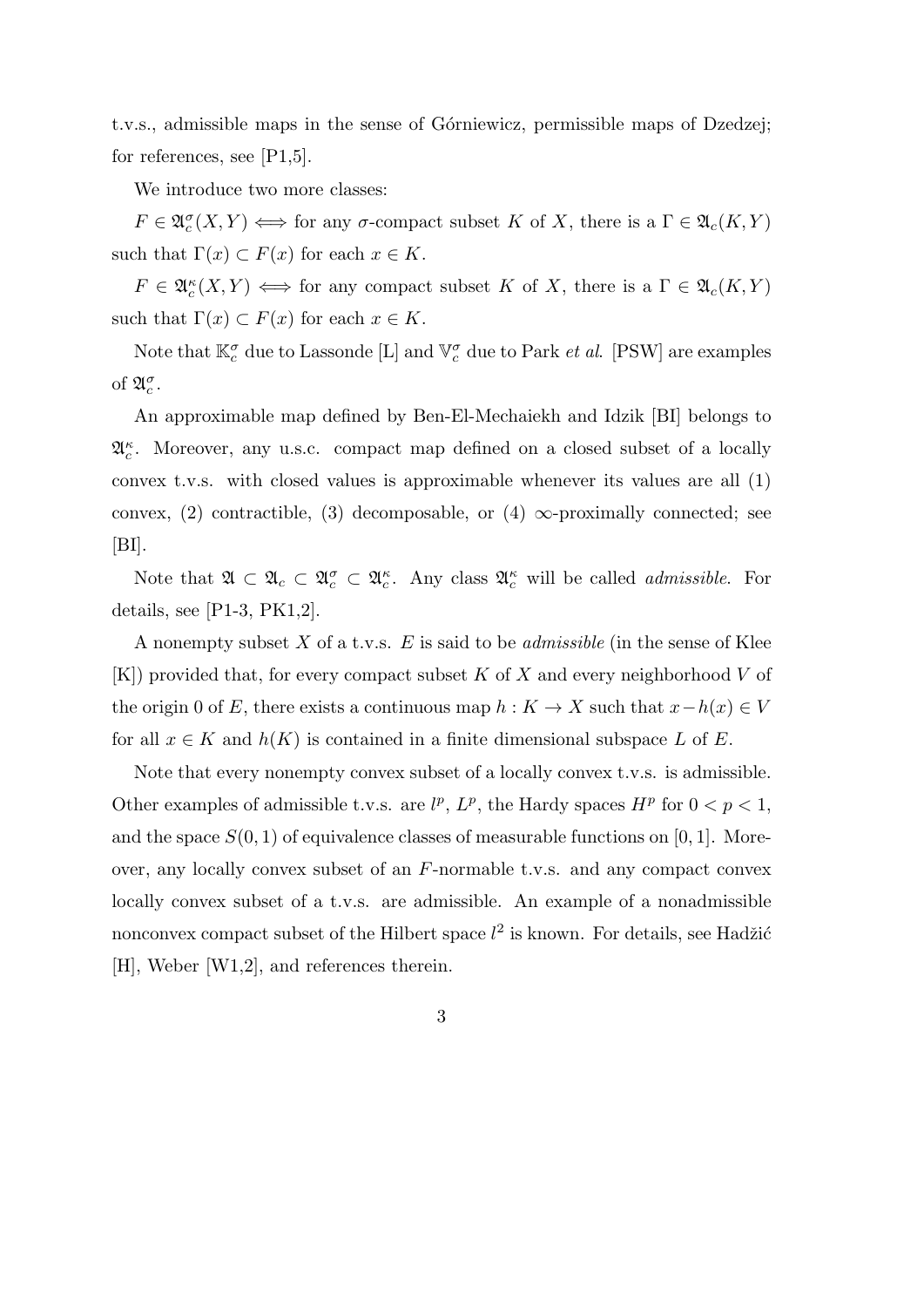t.v.s., admissible maps in the sense of Górniewicz, permissible maps of Dzedzej; for references, see [P1,5].

We introduce two more classes:

 $F \in \mathfrak{A}_c^{\sigma}(X, Y) \iff \text{for any } \sigma\text{-compact subset } K \text{ of } X, \text{ there is a } \Gamma \in \mathfrak{A}_c(K, Y)$ such that  $\Gamma(x) \subset F(x)$  for each  $x \in K$ .

 $F \in \mathfrak{A}_c^{\kappa}(X, Y) \iff \text{for any compact subset } K \text{ of } X, \text{ there is a } \Gamma \in \mathfrak{A}_c(K, Y)$ such that  $\Gamma(x) \subset F(x)$  for each  $x \in K$ .

Note that  $\mathbb{K}_c^{\sigma}$  due to Lassonde [L] and  $\mathbb{V}_c^{\sigma}$  due to Park *et al.* [PSW] are examples of  $\mathfrak{A}_{c}^{\sigma}$ .

An approximable map defined by Ben-El-Mechaiekh and Idzik [BI] belongs to A *κ c* . Moreover, any u.s.c. compact map defined on a closed subset of a locally convex t.v.s. with closed values is approximable whenever its values are all (1) convex,  $(2)$  contractible,  $(3)$  decomposable, or  $(4)$   $\infty$ -proximally connected; see  $[BI].$ 

Note that  $\mathfrak{A} \subset \mathfrak{A}_c \subset \mathfrak{A}_c^{\sigma} \subset \mathfrak{A}_c^{\kappa}$ . Any class  $\mathfrak{A}_c^{\kappa}$  will be called *admissible*. For details, see [P1-3, PK1,2].

A nonempty subset *X* of a t.v.s. *E* is said to be *admissible* (in the sense of Klee [K]) provided that, for every compact subset *K* of *X* and every neighborhood *V* of the origin 0 of *E*, there exists a continuous map  $h: K \to X$  such that  $x - h(x) \in V$ for all  $x \in K$  and  $h(K)$  is contained in a finite dimensional subspace  $L$  of  $E$ .

Note that every nonempty convex subset of a locally convex t.v.s. is admissible. Other examples of admissible t.v.s. are  $l^p$ ,  $L^p$ , the Hardy spaces  $H^p$  for  $0 < p < 1$ , and the space  $S(0,1)$  of equivalence classes of measurable functions on [0, 1]. Moreover, any locally convex subset of an *F*-normable t.v.s. and any compact convex locally convex subset of a t.v.s. are admissible. An example of a nonadmissible nonconvex compact subset of the Hilbert space  $l^2$  is known. For details, see Hadžić [H], Weber [W1,2], and references therein.

3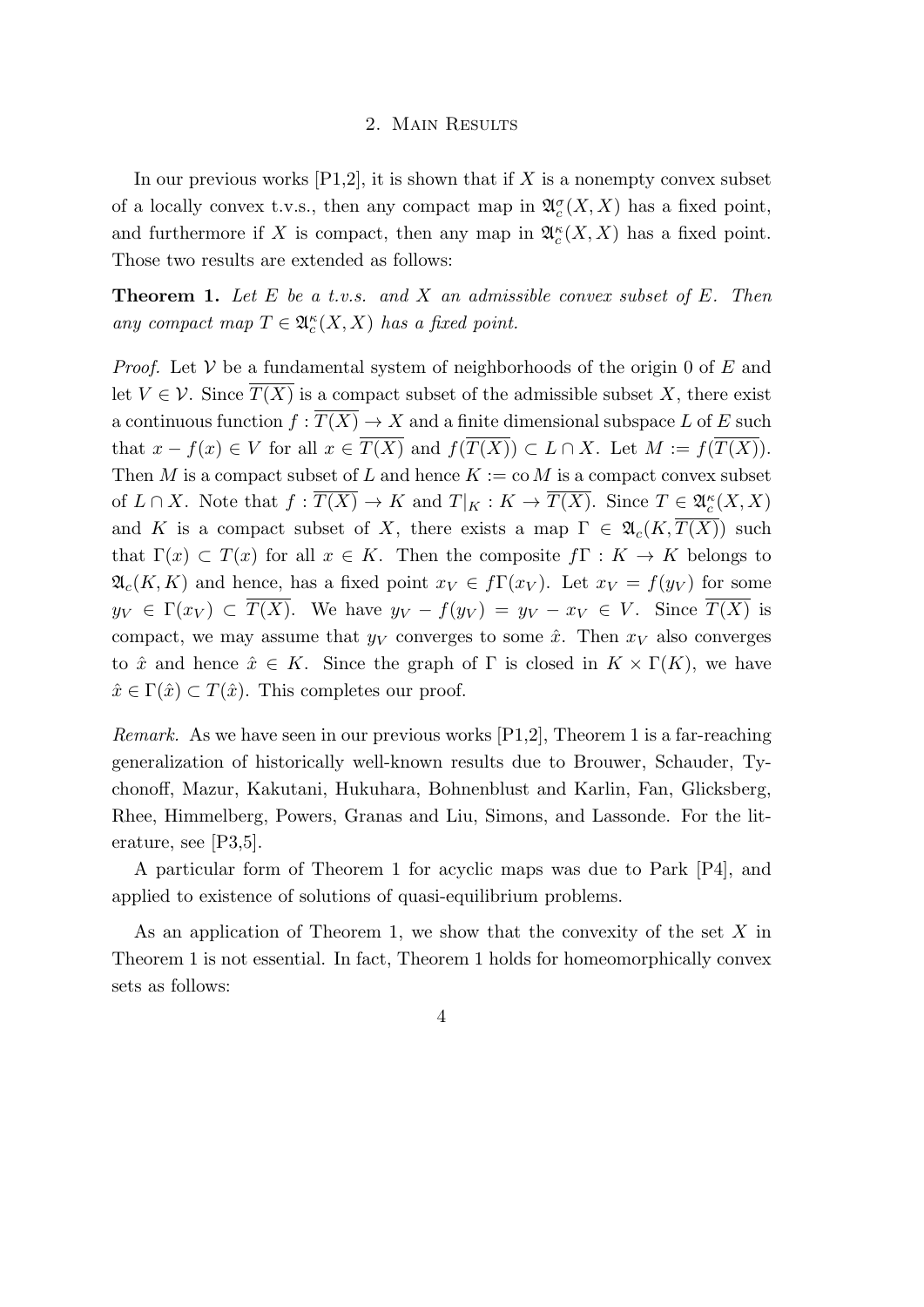#### 2. Main Results

In our previous works  $[P1,2]$ , it is shown that if X is a nonempty convex subset of a locally convex t.v.s., then any compact map in  $\mathfrak{A}_{c}^{\sigma}(X,X)$  has a fixed point, and furthermore if *X* is compact, then any map in  $\mathfrak{A}_{c}^{\kappa}(X,X)$  has a fixed point. Those two results are extended as follows:

**Theorem 1.** *Let E be a t.v.s. and X an admissible convex subset of E. Then any compact map*  $T \in \mathfrak{A}_c^{\kappa}(X,X)$  *has a fixed point.* 

*Proof.* Let *V* be a fundamental system of neighborhoods of the origin 0 of *E* and let  $V \in \mathcal{V}$ . Since  $T(X)$  is a compact subset of the admissible subset X, there exist a continuous function  $f: \overline{T(X)} \to X$  and a finite dimensional subspace L of E such that  $x - f(x) \in V$  for all  $x \in \overline{T(X)}$  and  $f(\overline{T(X)}) \subset L \cap X$ . Let  $M := f(\overline{T(X)})$ . Then *M* is a compact subset of *L* and hence  $K := \text{co } M$  is a compact convex subset of  $L \cap X$ . Note that  $f: \overline{T(X)} \to K$  and  $T|_K : K \to \overline{T(X)}$ . Since  $T \in \mathfrak{A}_c^{\kappa}(X, X)$ and *K* is a compact subset of *X*, there exists a map  $\Gamma \in \mathfrak{A}_c(K,T(X))$  such that  $\Gamma(x) \subset T(x)$  for all  $x \in K$ . Then the composite  $f\Gamma: K \to K$  belongs to  $\mathfrak{A}_c(K,K)$  and hence, has a fixed point  $x_V \in f\Gamma(x_V)$ . Let  $x_V = f(y_V)$  for some  $y_V \in \Gamma(x_V) \subset \overline{T(X)}$ . We have  $y_V - f(y_V) = y_V - x_V \in V$ . Since  $\overline{T(X)}$  is compact, we may assume that  $y_V$  converges to some  $\hat{x}$ . Then  $x_V$  also converges to  $\hat{x}$  and hence  $\hat{x} \in K$ . Since the graph of  $\Gamma$  is closed in  $K \times \Gamma(K)$ , we have  $\hat{x} \in \Gamma(\hat{x}) \subset T(\hat{x})$ . This completes our proof.

*Remark.* As we have seen in our previous works [P1,2], Theorem 1 is a far-reaching generalization of historically well-known results due to Brouwer, Schauder, Tychonoff, Mazur, Kakutani, Hukuhara, Bohnenblust and Karlin, Fan, Glicksberg, Rhee, Himmelberg, Powers, Granas and Liu, Simons, and Lassonde. For the literature, see [P3,5].

A particular form of Theorem 1 for acyclic maps was due to Park [P4], and applied to existence of solutions of quasi-equilibrium problems.

As an application of Theorem 1, we show that the convexity of the set *X* in Theorem 1 is not essential. In fact, Theorem 1 holds for homeomorphically convex sets as follows:

### 4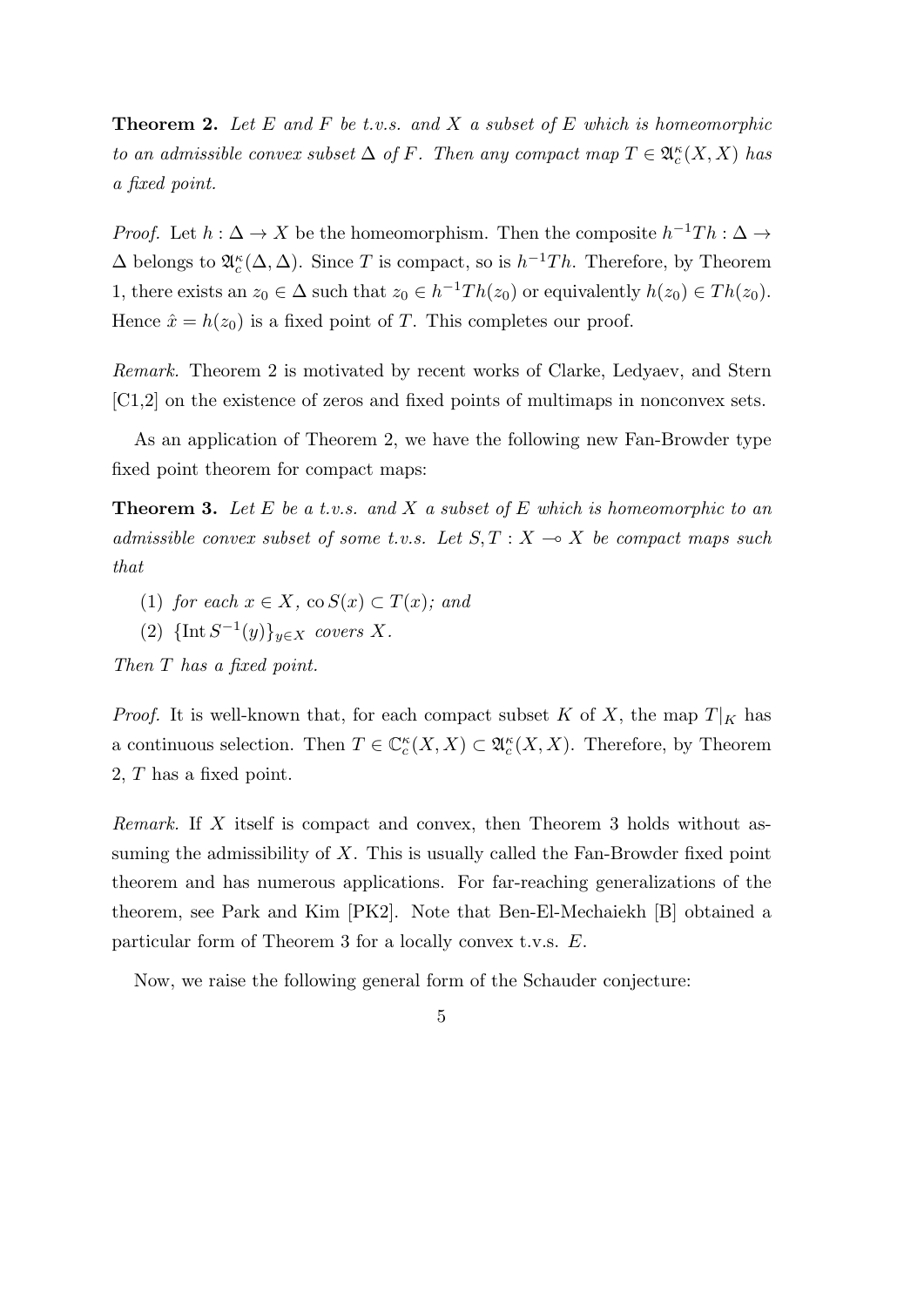**Theorem 2.** *Let E and F be t.v.s. and X a subset of E which is homeomorphic to an admissible convex subset*  $\Delta$  *of*  $F$ *. Then any compact map*  $T \in \mathfrak{A}_{c}^{\kappa}(X, X)$  *has a fixed point.*

*Proof.* Let  $h : \Delta \to X$  be the homeomorphism. Then the composite  $h^{-1}Th : \Delta \to Y$  $\Delta$  belongs to  $\mathfrak{A}_{c}^{\kappa}(\Delta, \Delta)$ . Since *T* is compact, so is  $h^{-1}Th$ . Therefore, by Theorem 1, there exists an  $z_0 \in \Delta$  such that  $z_0 \in h^{-1}Th(z_0)$  or equivalently  $h(z_0) \in Th(z_0)$ . Hence  $\hat{x} = h(z_0)$  is a fixed point of *T*. This completes our proof.

*Remark.* Theorem 2 is motivated by recent works of Clarke, Ledyaev, and Stern [C1,2] on the existence of zeros and fixed points of multimaps in nonconvex sets.

As an application of Theorem 2, we have the following new Fan-Browder type fixed point theorem for compact maps:

**Theorem 3.** *Let E be a t.v.s. and X a subset of E which is homeomorphic to an admissible convex subset of some t.v.s.* Let  $S, T : X \rightarrow X$  be compact maps such *that*

- (1) *for each*  $x \in X$ *,*  $\cos S(x) \subset T(x)$ *; and*
- $(2)$  {Int  $S^{-1}(y)$ } $_{y \in X}$  *covers X.*

*Then T has a fixed point.*

*Proof.* It is well-known that, for each compact subset *K* of *X*, the map  $T|_K$  has a continuous selection. Then  $T \in \mathbb{C}_c^{\kappa}(X,X) \subset \mathfrak{A}_c^{\kappa}(X,X)$ . Therefore, by Theorem 2, *T* has a fixed point.

*Remark.* If *X* itself is compact and convex, then Theorem 3 holds without assuming the admissibility of *X*. This is usually called the Fan-Browder fixed point theorem and has numerous applications. For far-reaching generalizations of the theorem, see Park and Kim [PK2]. Note that Ben-El-Mechaiekh [B] obtained a particular form of Theorem 3 for a locally convex t.v.s. *E*.

Now, we raise the following general form of the Schauder conjecture:

5